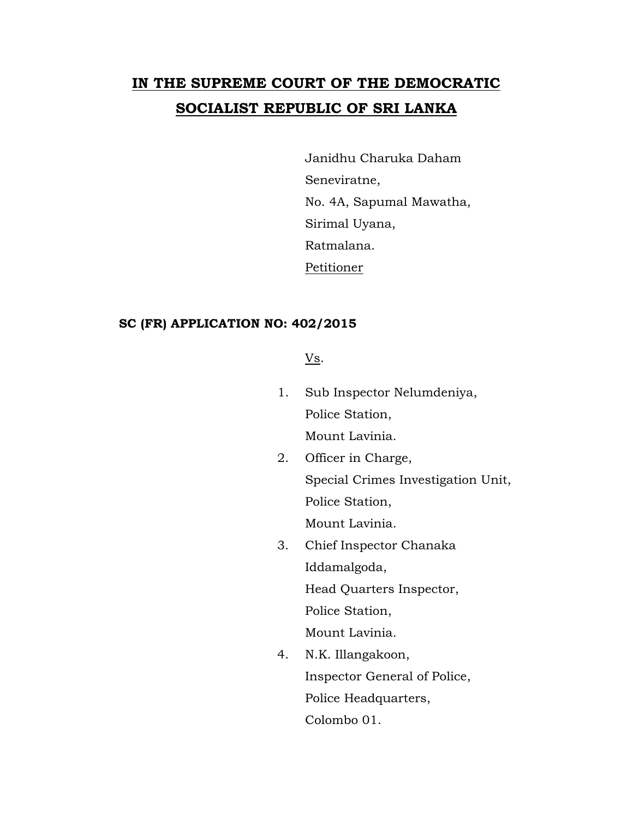## **IN THE SUPREME COURT OF THE DEMOCRATIC SOCIALIST REPUBLIC OF SRI LANKA**

Janidhu Charuka Daham Seneviratne, No. 4A, Sapumal Mawatha, Sirimal Uyana, Ratmalana. Petitioner

## **SC (FR) APPLICATION NO: 402/2015**

Vs.

1. Sub Inspector Nelumdeniya, Police Station,

Mount Lavinia.

- 2. Officer in Charge, Special Crimes Investigation Unit, Police Station, Mount Lavinia.
- 3. Chief Inspector Chanaka Iddamalgoda, Head Quarters Inspector, Police Station,

Mount Lavinia.

4. N.K. Illangakoon, Inspector General of Police, Police Headquarters, Colombo 01.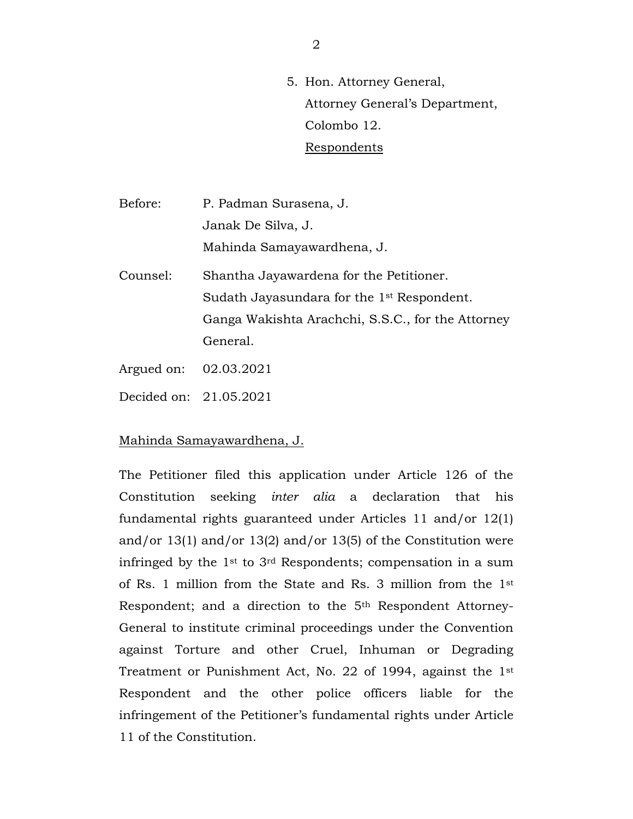5. Hon. Attorney General, Attorney General's Department, Colombo 12. Respondents

Before: P. Padman Surasena, J. Janak De Silva, J. Mahinda Samayawardhena, J. Counsel: Shantha Jayawardena for the Petitioner. Sudath Jayasundara for the 1st Respondent.

> Ganga Wakishta Arachchi, S.S.C., for the Attorney General.

- Argued on: 02.03.2021
- Decided on: 21.05.2021

## Mahinda Samayawardhena, J.

The Petitioner filed this application under Article 126 of the Constitution seeking *inter alia* a declaration that his fundamental rights guaranteed under Articles 11 and/or 12(1) and/or 13(1) and/or 13(2) and/or 13(5) of the Constitution were infringed by the 1st to 3rd Respondents; compensation in a sum of Rs. 1 million from the State and Rs. 3 million from the 1st Respondent; and a direction to the 5th Respondent Attorney-General to institute criminal proceedings under the Convention against Torture and other Cruel, Inhuman or Degrading Treatment or Punishment Act, No. 22 of 1994, against the 1st Respondent and the other police officers liable for the infringement of the Petitioner's fundamental rights under Article 11 of the Constitution.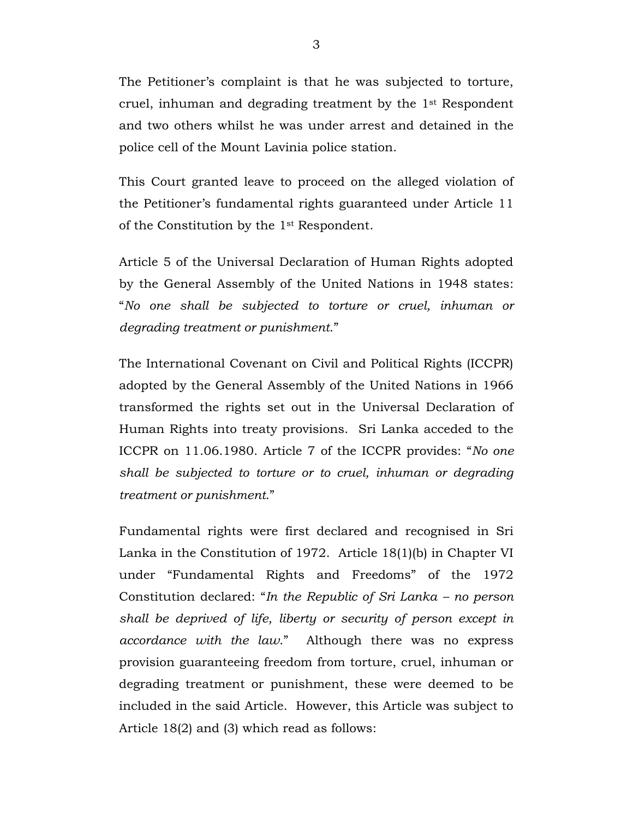The Petitioner's complaint is that he was subjected to torture, cruel, inhuman and degrading treatment by the 1st Respondent and two others whilst he was under arrest and detained in the police cell of the Mount Lavinia police station.

This Court granted leave to proceed on the alleged violation of the Petitioner's fundamental rights guaranteed under Article 11 of the Constitution by the 1st Respondent.

Article 5 of the Universal Declaration of Human Rights adopted by the General Assembly of the United Nations in 1948 states: "*No one shall be subjected to torture or cruel, inhuman or degrading treatment or punishment*."

The International Covenant on Civil and Political Rights (ICCPR) adopted by the General Assembly of the United Nations in 1966 transformed the rights set out in the Universal Declaration of Human Rights into treaty provisions. Sri Lanka acceded to the ICCPR on 11.06.1980. Article 7 of the ICCPR provides: "*No one shall be subjected to torture or to cruel, inhuman or degrading treatment or punishment*."

Fundamental rights were first declared and recognised in Sri Lanka in the Constitution of 1972. Article 18(1)(b) in Chapter VI under "Fundamental Rights and Freedoms" of the 1972 Constitution declared: "*In the Republic of Sri Lanka – no person shall be deprived of life, liberty or security of person except in accordance with the law*." Although there was no express provision guaranteeing freedom from torture, cruel, inhuman or degrading treatment or punishment, these were deemed to be included in the said Article. However, this Article was subject to Article 18(2) and (3) which read as follows: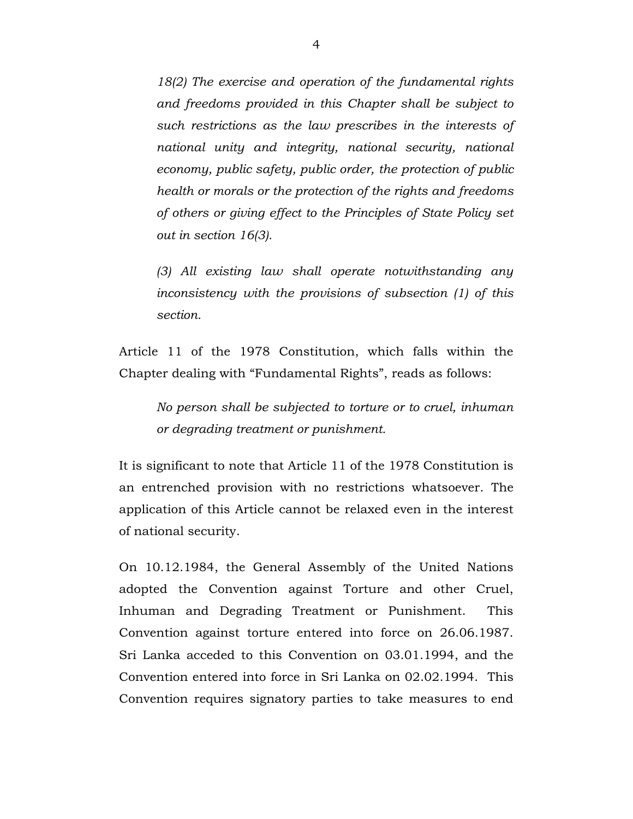*18(2) The exercise and operation of the fundamental rights and freedoms provided in this Chapter shall be subject to such restrictions as the law prescribes in the interests of national unity and integrity, national security, national economy, public safety, public order, the protection of public health or morals or the protection of the rights and freedoms of others or giving effect to the Principles of State Policy set out in section 16(3).*

*(3) All existing law shall operate notwithstanding any inconsistency with the provisions of subsection (1) of this section.*

Article 11 of the 1978 Constitution, which falls within the Chapter dealing with "Fundamental Rights", reads as follows:

*No person shall be subjected to torture or to cruel, inhuman or degrading treatment or punishment.* 

It is significant to note that Article 11 of the 1978 Constitution is an entrenched provision with no restrictions whatsoever. The application of this Article cannot be relaxed even in the interest of national security.

On 10.12.1984, the General Assembly of the United Nations adopted the Convention against Torture and other Cruel, Inhuman and Degrading Treatment or Punishment. This Convention against torture entered into force on 26.06.1987. Sri Lanka acceded to this Convention on 03.01.1994, and the Convention entered into force in Sri Lanka on 02.02.1994. This Convention requires signatory parties to take measures to end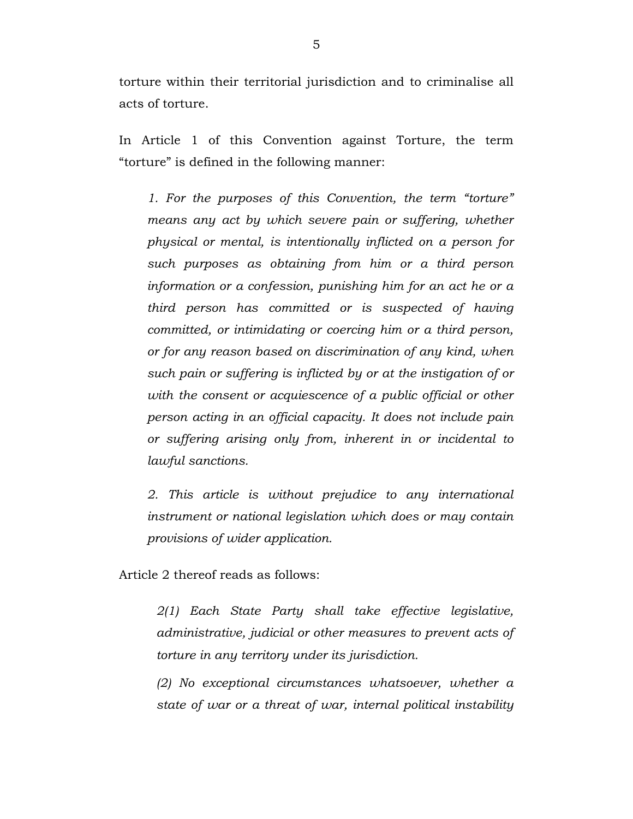torture within their territorial jurisdiction and to criminalise all acts of torture.

In Article 1 of this Convention against Torture, the term "torture" is defined in the following manner:

*1. For the purposes of this Convention, the term "torture" means any act by which severe pain or suffering, whether physical or mental, is intentionally inflicted on a person for such purposes as obtaining from him or a third person information or a confession, punishing him for an act he or a third person has committed or is suspected of having committed, or intimidating or coercing him or a third person, or for any reason based on discrimination of any kind, when such pain or suffering is inflicted by or at the instigation of or with the consent or acquiescence of a public official or other person acting in an official capacity. It does not include pain or suffering arising only from, inherent in or incidental to lawful sanctions.* 

*2. This article is without prejudice to any international instrument or national legislation which does or may contain provisions of wider application.* 

Article 2 thereof reads as follows:

*2(1) Each State Party shall take effective legislative, administrative, judicial or other measures to prevent acts of torture in any territory under its jurisdiction.* 

*(2) No exceptional circumstances whatsoever, whether a state of war or a threat of war, internal political instability*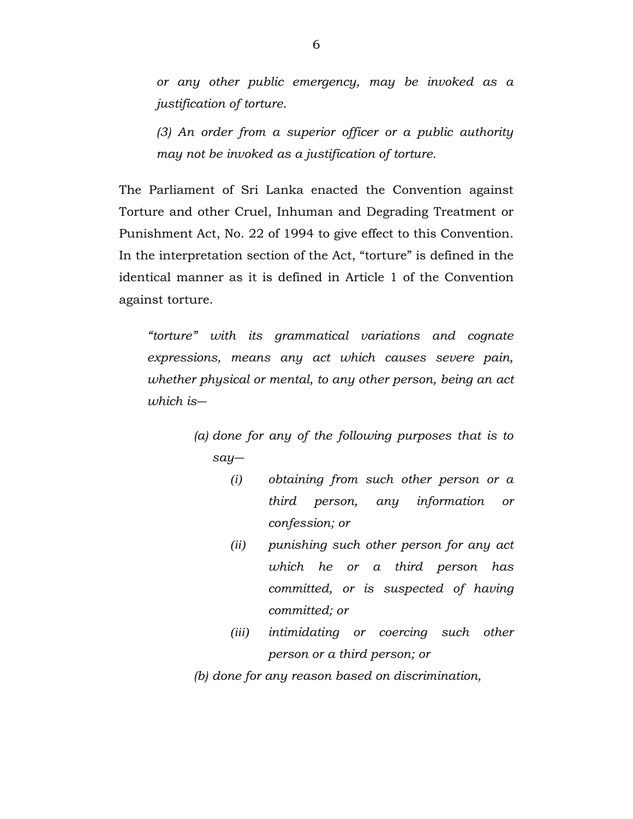*or any other public emergency, may be invoked as a justification of torture.*

*(3) An order from a superior officer or a public authority may not be invoked as a justification of torture.*

The Parliament of Sri Lanka enacted the Convention against Torture and other Cruel, Inhuman and Degrading Treatment or Punishment Act, No. 22 of 1994 to give effect to this Convention. In the interpretation section of the Act, "torture" is defined in the identical manner as it is defined in Article 1 of the Convention against torture.

*"torture" with its grammatical variations and cognate expressions, means any act which causes severe pain, whether physical or mental, to any other person, being an act which is―*

> *(a) done for any of the following purposes that is to say―*

- *(i) obtaining from such other person or a third person, any information or confession; or*
- *(ii) punishing such other person for any act which he or a third person has committed, or is suspected of having committed; or*
- *(iii) intimidating or coercing such other person or a third person; or*

*(b) done for any reason based on discrimination,*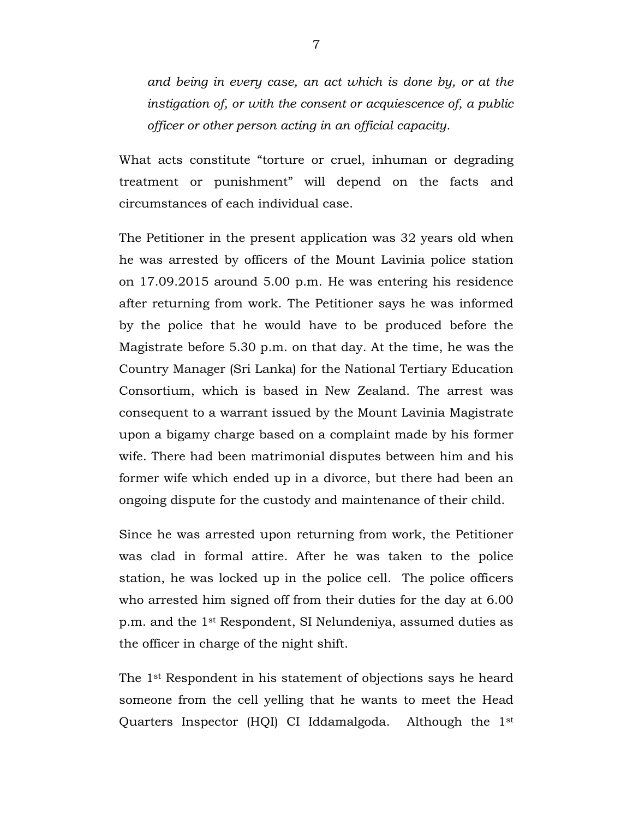*and being in every case, an act which is done by, or at the instigation of, or with the consent or acquiescence of, a public officer or other person acting in an official capacity.*

What acts constitute "torture or cruel, inhuman or degrading treatment or punishment" will depend on the facts and circumstances of each individual case.

The Petitioner in the present application was 32 years old when he was arrested by officers of the Mount Lavinia police station on 17.09.2015 around 5.00 p.m. He was entering his residence after returning from work. The Petitioner says he was informed by the police that he would have to be produced before the Magistrate before 5.30 p.m. on that day. At the time, he was the Country Manager (Sri Lanka) for the National Tertiary Education Consortium, which is based in New Zealand. The arrest was consequent to a warrant issued by the Mount Lavinia Magistrate upon a bigamy charge based on a complaint made by his former wife. There had been matrimonial disputes between him and his former wife which ended up in a divorce, but there had been an ongoing dispute for the custody and maintenance of their child.

Since he was arrested upon returning from work, the Petitioner was clad in formal attire. After he was taken to the police station, he was locked up in the police cell. The police officers who arrested him signed off from their duties for the day at 6.00 p.m. and the 1st Respondent, SI Nelundeniya, assumed duties as the officer in charge of the night shift.

The 1st Respondent in his statement of objections says he heard someone from the cell yelling that he wants to meet the Head Quarters Inspector (HQI) CI Iddamalgoda. Although the 1st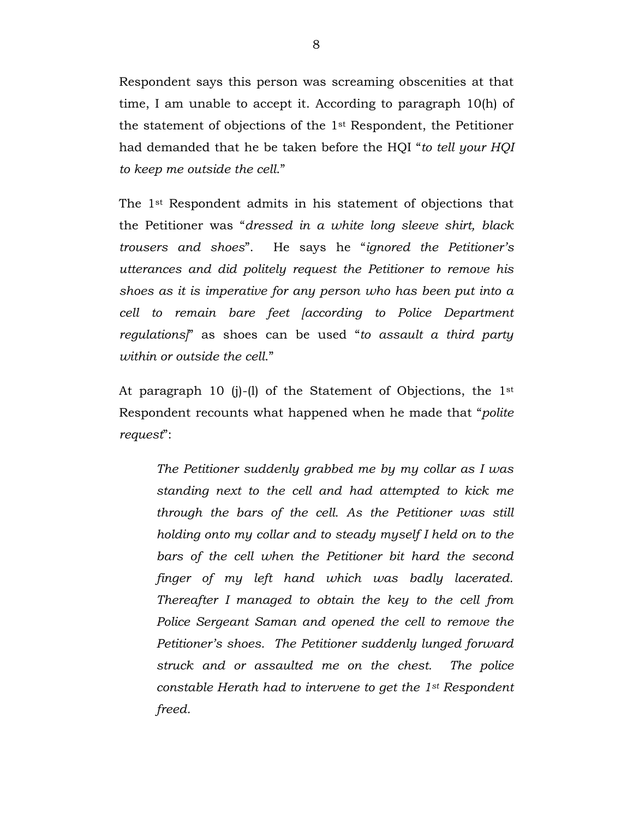Respondent says this person was screaming obscenities at that time, I am unable to accept it. According to paragraph 10(h) of the statement of objections of the 1st Respondent, the Petitioner had demanded that he be taken before the HQI "*to tell your HQI to keep me outside the cell*."

The 1st Respondent admits in his statement of objections that the Petitioner was "*dressed in a white long sleeve shirt, black trousers and shoes*". He says he "*ignored the Petitioner's utterances and did politely request the Petitioner to remove his shoes as it is imperative for any person who has been put into a cell to remain bare feet [according to Police Department regulations]*" as shoes can be used "*to assault a third party within or outside the cell*."

At paragraph 10 (j)-(l) of the Statement of Objections, the 1st Respondent recounts what happened when he made that "*polite request*":

*The Petitioner suddenly grabbed me by my collar as I was standing next to the cell and had attempted to kick me through the bars of the cell. As the Petitioner was still holding onto my collar and to steady myself I held on to the bars of the cell when the Petitioner bit hard the second finger of my left hand which was badly lacerated. Thereafter I managed to obtain the key to the cell from Police Sergeant Saman and opened the cell to remove the Petitioner's shoes. The Petitioner suddenly lunged forward struck and or assaulted me on the chest. The police constable Herath had to intervene to get the 1st Respondent freed.*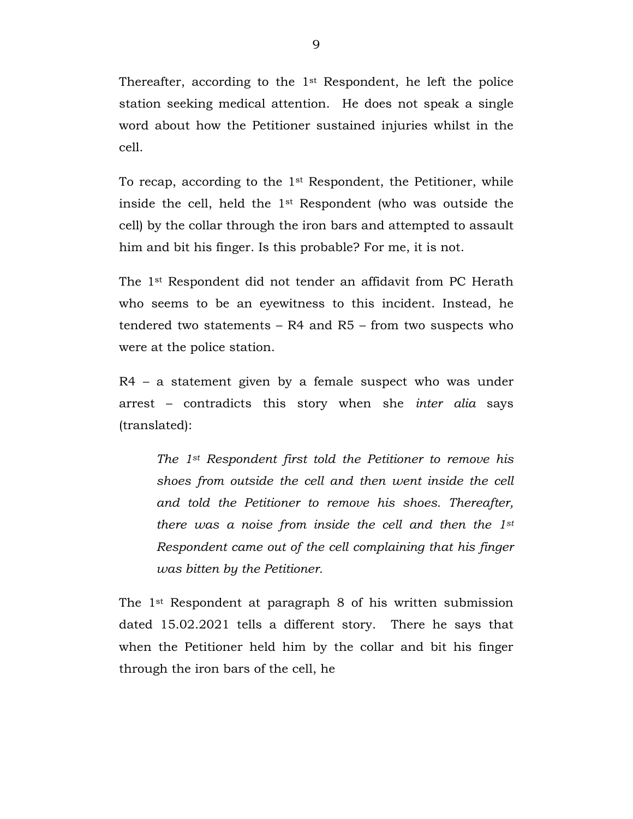Thereafter, according to the 1st Respondent, he left the police station seeking medical attention. He does not speak a single word about how the Petitioner sustained injuries whilst in the cell.

To recap, according to the 1st Respondent, the Petitioner, while inside the cell, held the 1st Respondent (who was outside the cell) by the collar through the iron bars and attempted to assault him and bit his finger. Is this probable? For me, it is not.

The 1st Respondent did not tender an affidavit from PC Herath who seems to be an eyewitness to this incident. Instead, he tendered two statements – R4 and R5 – from two suspects who were at the police station.

R4 – a statement given by a female suspect who was under arrest – contradicts this story when she *inter alia* says (translated):

*The 1st Respondent first told the Petitioner to remove his shoes from outside the cell and then went inside the cell and told the Petitioner to remove his shoes. Thereafter, there was a noise from inside the cell and then the 1st Respondent came out of the cell complaining that his finger was bitten by the Petitioner.*

The 1st Respondent at paragraph 8 of his written submission dated 15.02.2021 tells a different story. There he says that when the Petitioner held him by the collar and bit his finger through the iron bars of the cell, he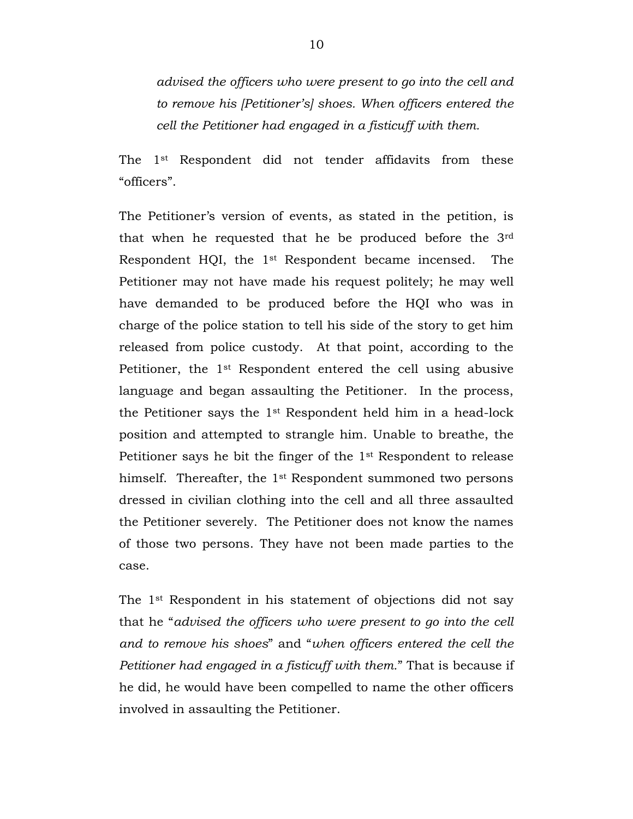*advised the officers who were present to go into the cell and to remove his [Petitioner's] shoes. When officers entered the cell the Petitioner had engaged in a fisticuff with them.*

The 1st Respondent did not tender affidavits from these "officers".

The Petitioner's version of events, as stated in the petition, is that when he requested that he be produced before the 3rd Respondent HQI, the 1st Respondent became incensed. The Petitioner may not have made his request politely; he may well have demanded to be produced before the HQI who was in charge of the police station to tell his side of the story to get him released from police custody. At that point, according to the Petitioner, the 1st Respondent entered the cell using abusive language and began assaulting the Petitioner. In the process, the Petitioner says the 1st Respondent held him in a head-lock position and attempted to strangle him. Unable to breathe, the Petitioner says he bit the finger of the 1st Respondent to release himself. Thereafter, the 1st Respondent summoned two persons dressed in civilian clothing into the cell and all three assaulted the Petitioner severely. The Petitioner does not know the names of those two persons. They have not been made parties to the case.

The 1st Respondent in his statement of objections did not say that he "*advised the officers who were present to go into the cell and to remove his shoes*" and "*when officers entered the cell the Petitioner had engaged in a fisticuff with them.*" That is because if he did, he would have been compelled to name the other officers involved in assaulting the Petitioner.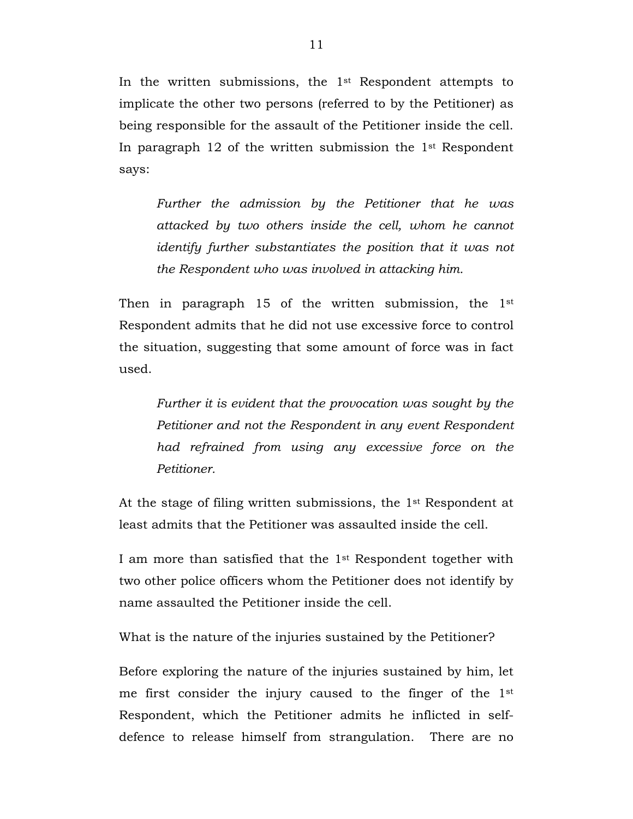In the written submissions, the 1st Respondent attempts to implicate the other two persons (referred to by the Petitioner) as being responsible for the assault of the Petitioner inside the cell. In paragraph 12 of the written submission the  $1<sup>st</sup>$  Respondent says:

*Further the admission by the Petitioner that he was attacked by two others inside the cell, whom he cannot identify further substantiates the position that it was not the Respondent who was involved in attacking him.*

Then in paragraph 15 of the written submission, the 1<sup>st</sup> Respondent admits that he did not use excessive force to control the situation, suggesting that some amount of force was in fact used.

*Further it is evident that the provocation was sought by the Petitioner and not the Respondent in any event Respondent had refrained from using any excessive force on the Petitioner.*

At the stage of filing written submissions, the 1st Respondent at least admits that the Petitioner was assaulted inside the cell.

I am more than satisfied that the 1st Respondent together with two other police officers whom the Petitioner does not identify by name assaulted the Petitioner inside the cell.

What is the nature of the injuries sustained by the Petitioner?

Before exploring the nature of the injuries sustained by him, let me first consider the injury caused to the finger of the 1st Respondent, which the Petitioner admits he inflicted in selfdefence to release himself from strangulation. There are no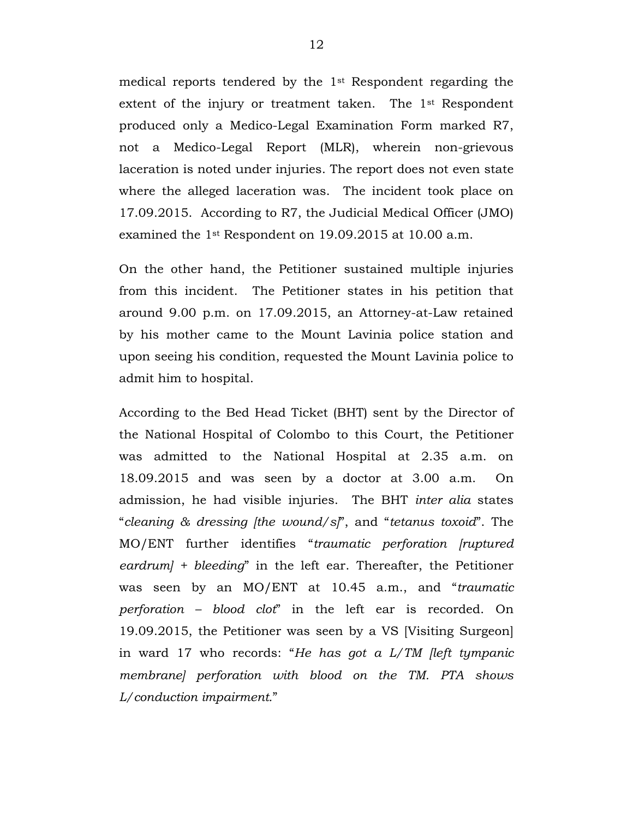medical reports tendered by the 1st Respondent regarding the extent of the injury or treatment taken. The 1st Respondent produced only a Medico-Legal Examination Form marked R7, not a Medico-Legal Report (MLR), wherein non-grievous laceration is noted under injuries. The report does not even state where the alleged laceration was. The incident took place on 17.09.2015. According to R7, the Judicial Medical Officer (JMO) examined the 1st Respondent on 19.09.2015 at 10.00 a.m.

On the other hand, the Petitioner sustained multiple injuries from this incident. The Petitioner states in his petition that around 9.00 p.m. on 17.09.2015, an Attorney-at-Law retained by his mother came to the Mount Lavinia police station and upon seeing his condition, requested the Mount Lavinia police to admit him to hospital.

According to the Bed Head Ticket (BHT) sent by the Director of the National Hospital of Colombo to this Court, the Petitioner was admitted to the National Hospital at 2.35 a.m. on 18.09.2015 and was seen by a doctor at 3.00 a.m. On admission, he had visible injuries. The BHT *inter alia* states "*cleaning & dressing [the wound/s]*", and "*tetanus toxoid*". The MO/ENT further identifies "*traumatic perforation [ruptured eardrum] + bleeding*" in the left ear. Thereafter, the Petitioner was seen by an MO/ENT at 10.45 a.m., and "*traumatic perforation – blood clot*" in the left ear is recorded. On 19.09.2015, the Petitioner was seen by a VS [Visiting Surgeon] in ward 17 who records: "*He has got a L/TM [left tympanic membrane] perforation with blood on the TM. PTA shows L/conduction impairment.*"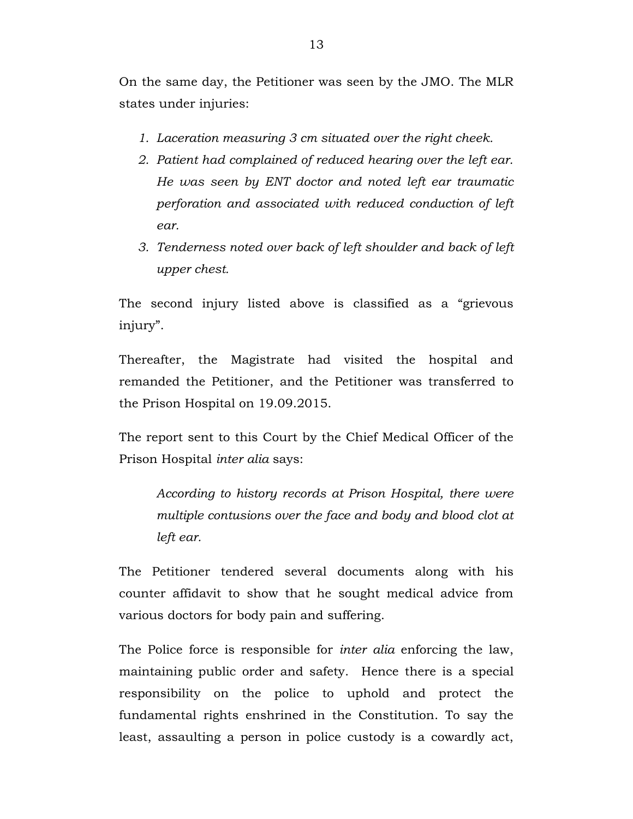On the same day, the Petitioner was seen by the JMO. The MLR states under injuries:

- *1. Laceration measuring 3 cm situated over the right cheek.*
- *2. Patient had complained of reduced hearing over the left ear. He was seen by ENT doctor and noted left ear traumatic perforation and associated with reduced conduction of left ear.*
- *3. Tenderness noted over back of left shoulder and back of left upper chest.*

The second injury listed above is classified as a "grievous injury".

Thereafter, the Magistrate had visited the hospital and remanded the Petitioner, and the Petitioner was transferred to the Prison Hospital on 19.09.2015.

The report sent to this Court by the Chief Medical Officer of the Prison Hospital *inter alia* says:

*According to history records at Prison Hospital, there were multiple contusions over the face and body and blood clot at left ear.*

The Petitioner tendered several documents along with his counter affidavit to show that he sought medical advice from various doctors for body pain and suffering.

The Police force is responsible for *inter alia* enforcing the law, maintaining public order and safety. Hence there is a special responsibility on the police to uphold and protect the fundamental rights enshrined in the Constitution. To say the least, assaulting a person in police custody is a cowardly act,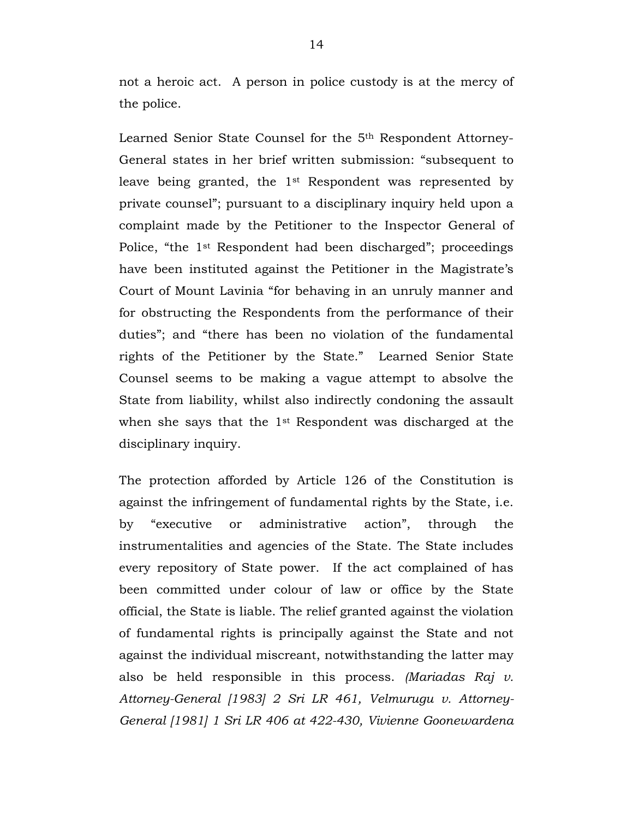not a heroic act. A person in police custody is at the mercy of the police.

Learned Senior State Counsel for the 5th Respondent Attorney-General states in her brief written submission: "subsequent to leave being granted, the 1st Respondent was represented by private counsel"; pursuant to a disciplinary inquiry held upon a complaint made by the Petitioner to the Inspector General of Police, "the 1st Respondent had been discharged"; proceedings have been instituted against the Petitioner in the Magistrate's Court of Mount Lavinia "for behaving in an unruly manner and for obstructing the Respondents from the performance of their duties"; and "there has been no violation of the fundamental rights of the Petitioner by the State." Learned Senior State Counsel seems to be making a vague attempt to absolve the State from liability, whilst also indirectly condoning the assault when she says that the 1st Respondent was discharged at the disciplinary inquiry.

The protection afforded by Article 126 of the Constitution is against the infringement of fundamental rights by the State, i.e. by "executive or administrative action", through the instrumentalities and agencies of the State. The State includes every repository of State power. If the act complained of has been committed under colour of law or office by the State official, the State is liable. The relief granted against the violation of fundamental rights is principally against the State and not against the individual miscreant, notwithstanding the latter may also be held responsible in this process. *(Mariadas Raj v. Attorney-General [1983] 2 Sri LR 461, Velmurugu v. Attorney-General [1981] 1 Sri LR 406 at 422-430, Vivienne Goonewardena*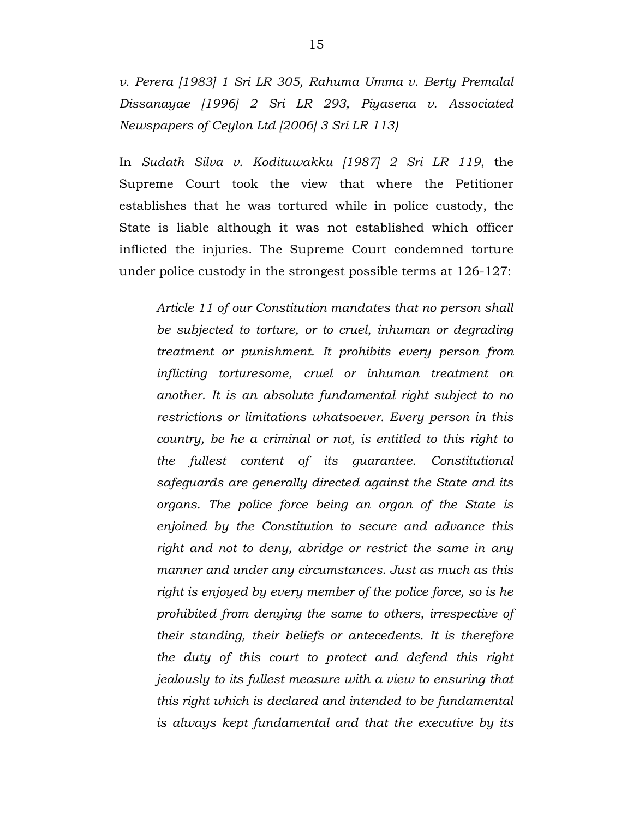*v. Perera [1983] 1 Sri LR 305, Rahuma Umma v. Berty Premalal Dissanayae [1996] 2 Sri LR 293, Piyasena v. Associated Newspapers of Ceylon Ltd [2006] 3 Sri LR 113)*

In *Sudath Silva v. Kodituwakku [1987] 2 Sri LR 119*, the Supreme Court took the view that where the Petitioner establishes that he was tortured while in police custody, the State is liable although it was not established which officer inflicted the injuries. The Supreme Court condemned torture under police custody in the strongest possible terms at 126-127:

*Article 11 of our Constitution mandates that no person shall be subjected to torture, or to cruel, inhuman or degrading treatment or punishment. It prohibits every person from inflicting torturesome, cruel or inhuman treatment on another. It is an absolute fundamental right subject to no restrictions or limitations whatsoever. Every person in this country, be he a criminal or not, is entitled to this right to the fullest content of its guarantee. Constitutional safeguards are generally directed against the State and its organs. The police force being an organ of the State is enjoined by the Constitution to secure and advance this right and not to deny, abridge or restrict the same in any manner and under any circumstances. Just as much as this right is enjoyed by every member of the police force, so is he prohibited from denying the same to others, irrespective of their standing, their beliefs or antecedents. It is therefore the duty of this court to protect and defend this right jealously to its fullest measure with a view to ensuring that this right which is declared and intended to be fundamental is always kept fundamental and that the executive by its*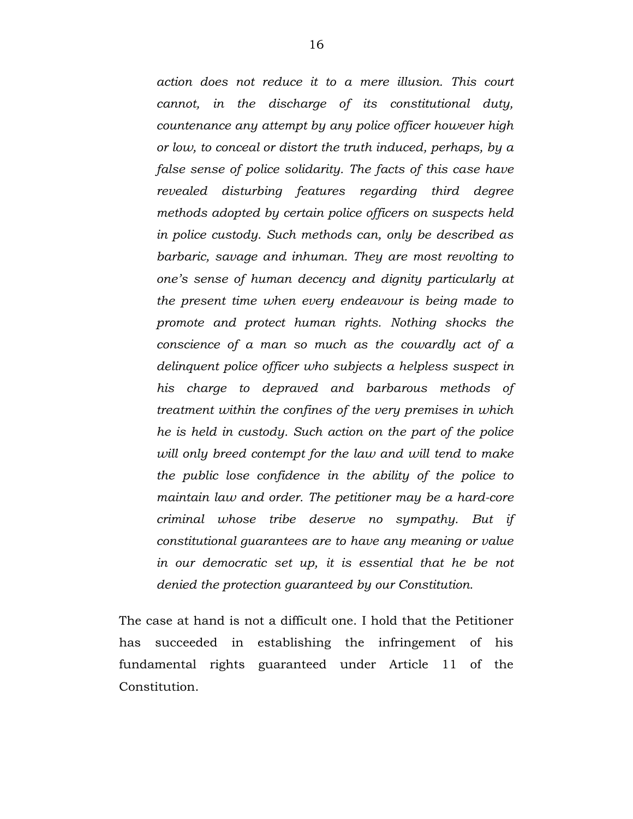*action does not reduce it to a mere illusion. This court cannot, in the discharge of its constitutional duty, countenance any attempt by any police officer however high or low, to conceal or distort the truth induced, perhaps, by a false sense of police solidarity. The facts of this case have revealed disturbing features regarding third degree methods adopted by certain police officers on suspects held in police custody. Such methods can, only be described as barbaric, savage and inhuman. They are most revolting to one's sense of human decency and dignity particularly at the present time when every endeavour is being made to promote and protect human rights. Nothing shocks the conscience of a man so much as the cowardly act of a delinquent police officer who subjects a helpless suspect in his charge to depraved and barbarous methods of treatment within the confines of the very premises in which he is held in custody. Such action on the part of the police will only breed contempt for the law and will tend to make the public lose confidence in the ability of the police to maintain law and order. The petitioner may be a hard-core criminal whose tribe deserve no sympathy. But if constitutional guarantees are to have any meaning or value in our democratic set up, it is essential that he be not denied the protection guaranteed by our Constitution.*

The case at hand is not a difficult one. I hold that the Petitioner has succeeded in establishing the infringement of his fundamental rights guaranteed under Article 11 of the Constitution.